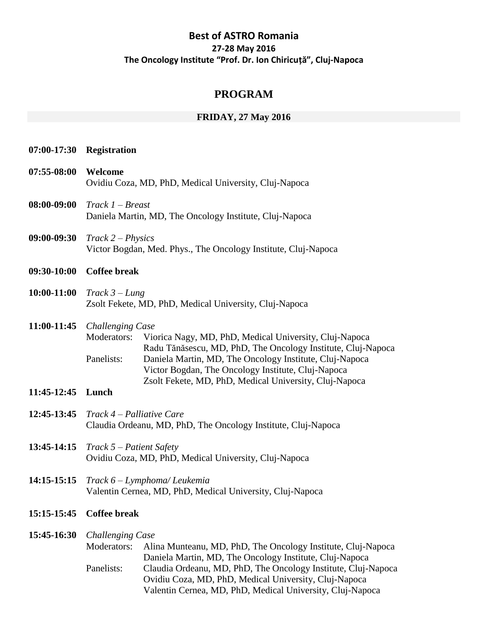# **Best of ASTRO Romania 27-28 May 2016 The Oncology Institute "Prof. Dr. Ion Chiricuță", Cluj-Napoca**

# **PROGRAM**

# **FRIDAY, 27 May 2016**

|                            | 07:00-17:30 Registration                                                                                                                                                                                                                                                                                                                                    |
|----------------------------|-------------------------------------------------------------------------------------------------------------------------------------------------------------------------------------------------------------------------------------------------------------------------------------------------------------------------------------------------------------|
| 07:55-08:00                | Welcome<br>Ovidiu Coza, MD, PhD, Medical University, Cluj-Napoca                                                                                                                                                                                                                                                                                            |
| 08:00-09:00                | $Track 1-Breat$<br>Daniela Martin, MD, The Oncology Institute, Cluj-Napoca                                                                                                                                                                                                                                                                                  |
| 09:00-09:30                | $Track 2 - Physics$<br>Victor Bogdan, Med. Phys., The Oncology Institute, Cluj-Napoca                                                                                                                                                                                                                                                                       |
| 09:30-10:00                | <b>Coffee break</b>                                                                                                                                                                                                                                                                                                                                         |
| 10:00-11:00                | $Track 3 - Lung$<br>Zsolt Fekete, MD, PhD, Medical University, Cluj-Napoca                                                                                                                                                                                                                                                                                  |
| 11:00-11:45<br>11:45-12:45 | Challenging Case<br>Viorica Nagy, MD, PhD, Medical University, Cluj-Napoca<br>Moderators:<br>Radu Tănăsescu, MD, PhD, The Oncology Institute, Cluj-Napoca<br>Panelists:<br>Daniela Martin, MD, The Oncology Institute, Cluj-Napoca<br>Victor Bogdan, The Oncology Institute, Cluj-Napoca<br>Zsolt Fekete, MD, PhD, Medical University, Cluj-Napoca<br>Lunch |
| 12:45-13:45                | Track 4 – Palliative Care<br>Claudia Ordeanu, MD, PhD, The Oncology Institute, Cluj-Napoca                                                                                                                                                                                                                                                                  |
| 13:45-14:15                | $Track 5 - Patient Safety$<br>Ovidiu Coza, MD, PhD, Medical University, Cluj-Napoca                                                                                                                                                                                                                                                                         |
|                            | $14:15-15:15$ Track $6$ – Lymphoma/ Leukemia<br>Valentin Cernea, MD, PhD, Medical University, Cluj-Napoca                                                                                                                                                                                                                                                   |
| 15:15-15:45                | <b>Coffee break</b>                                                                                                                                                                                                                                                                                                                                         |
| 15:45-16:30                | <b>Challenging Case</b><br>Moderators:<br>Alina Munteanu, MD, PhD, The Oncology Institute, Cluj-Napoca<br>Daniela Martin, MD, The Oncology Institute, Cluj-Napoca<br>Claudia Ordeanu, MD, PhD, The Oncology Institute, Cluj-Napoca<br>Panelists:<br>Ovidiu Coza, MD, PhD, Medical University, Cluj-Napoca                                                   |

Valentin Cernea, MD, PhD, Medical University, Cluj-Napoca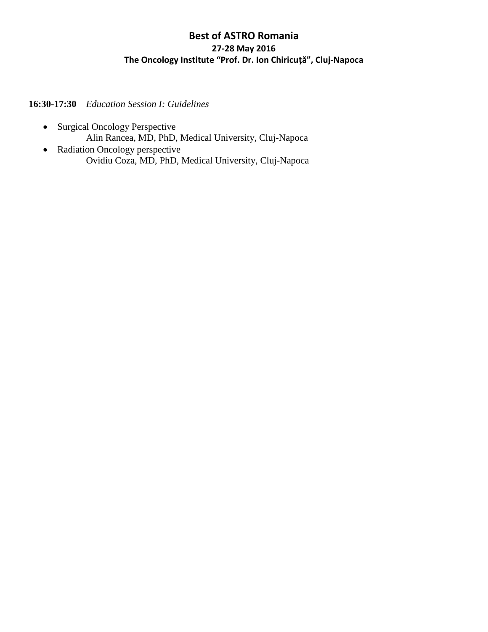# **Best of ASTRO Romania 27-28 May 2016 The Oncology Institute "Prof. Dr. Ion Chiricuță", Cluj-Napoca**

**16:30-17:30** *Education Session I: Guidelines*

- Surgical Oncology Perspective Alin Rancea, MD, PhD, Medical University, Cluj-Napoca
- Radiation Oncology perspective Ovidiu Coza, MD, PhD, Medical University, Cluj-Napoca